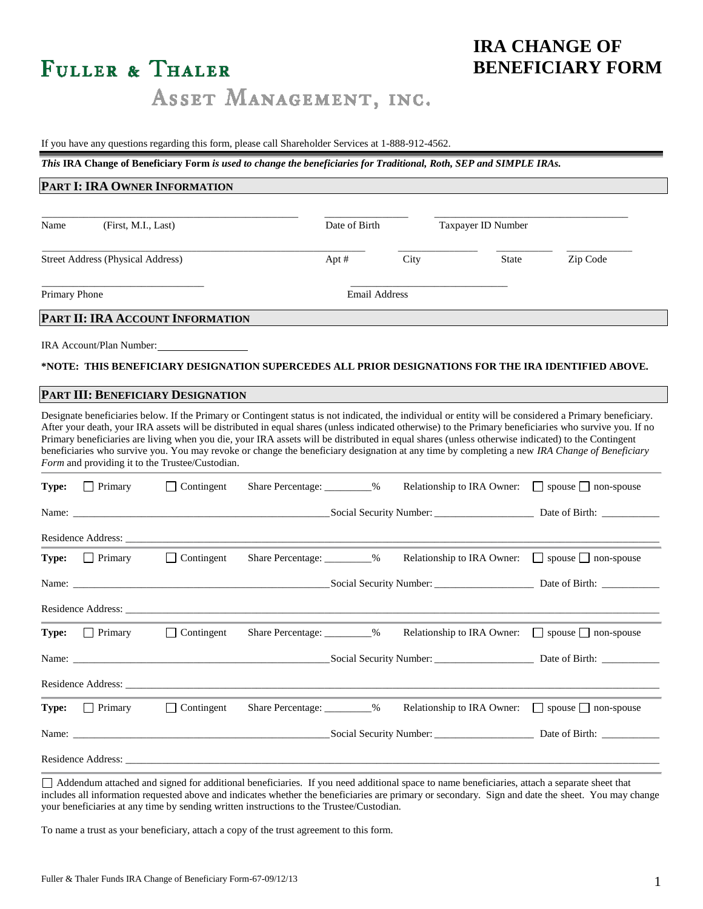# FULLER & THALER

ASSET MANAGEMENT, INC.

### If you have any questions regarding this form, please call Shareholder Services at 1-888-912-4562.

*This* **IRA Change of Beneficiary Form** *is used to change the beneficiaries for Traditional, Roth, SEP and SIMPLE IRAs.*

| PART I: IRA OWNER INFORMATION |                                          |                                                                                                                                                                                                                                |                              |                      |      |                    |                                                                                                                                                                                                                                                                                                                                                                                                                                                                                                                                                                                                                                                                                       |
|-------------------------------|------------------------------------------|--------------------------------------------------------------------------------------------------------------------------------------------------------------------------------------------------------------------------------|------------------------------|----------------------|------|--------------------|---------------------------------------------------------------------------------------------------------------------------------------------------------------------------------------------------------------------------------------------------------------------------------------------------------------------------------------------------------------------------------------------------------------------------------------------------------------------------------------------------------------------------------------------------------------------------------------------------------------------------------------------------------------------------------------|
| Name                          | (First, M.I., Last)                      |                                                                                                                                                                                                                                |                              | Date of Birth        |      | Taxpayer ID Number |                                                                                                                                                                                                                                                                                                                                                                                                                                                                                                                                                                                                                                                                                       |
|                               | <b>Street Address (Physical Address)</b> |                                                                                                                                                                                                                                |                              | Apt#                 | City | <b>State</b>       | Zip Code                                                                                                                                                                                                                                                                                                                                                                                                                                                                                                                                                                                                                                                                              |
| Primary Phone                 |                                          |                                                                                                                                                                                                                                |                              | <b>Email Address</b> |      |                    |                                                                                                                                                                                                                                                                                                                                                                                                                                                                                                                                                                                                                                                                                       |
|                               |                                          | PART II: IRA ACCOUNT INFORMATION                                                                                                                                                                                               |                              |                      |      |                    |                                                                                                                                                                                                                                                                                                                                                                                                                                                                                                                                                                                                                                                                                       |
|                               |                                          | IRA Account/Plan Number:                                                                                                                                                                                                       |                              |                      |      |                    | *NOTE: THIS BENEFICIARY DESIGNATION SUPERCEDES ALL PRIOR DESIGNATIONS FOR THE IRA IDENTIFIED ABOVE.                                                                                                                                                                                                                                                                                                                                                                                                                                                                                                                                                                                   |
|                               |                                          | PART III: BENEFICIARY DESIGNATION                                                                                                                                                                                              |                              |                      |      |                    |                                                                                                                                                                                                                                                                                                                                                                                                                                                                                                                                                                                                                                                                                       |
| Type:                         | $\Box$ Primary                           | Form and providing it to the Trustee/Custodian.<br>$\Box$ Contingent                                                                                                                                                           | Share Percentage: _________% |                      |      |                    | Designate beneficiaries below. If the Primary or Contingent status is not indicated, the individual or entity will be considered a Primary beneficiary.<br>After your death, your IRA assets will be distributed in equal shares (unless indicated otherwise) to the Primary beneficiaries who survive you. If no<br>Primary beneficiaries are living when you die, your IRA assets will be distributed in equal shares (unless otherwise indicated) to the Contingent<br>beneficiaries who survive you. You may revoke or change the beneficiary designation at any time by completing a new IRA Change of Beneficiary<br>Relationship to IRA Owner: $\Box$ spouse $\Box$ non-spouse |
|                               |                                          |                                                                                                                                                                                                                                |                              |                      |      |                    |                                                                                                                                                                                                                                                                                                                                                                                                                                                                                                                                                                                                                                                                                       |
|                               |                                          |                                                                                                                                                                                                                                |                              |                      |      |                    |                                                                                                                                                                                                                                                                                                                                                                                                                                                                                                                                                                                                                                                                                       |
|                               |                                          | Residence Address: No. 1996. The Second Second Second Second Second Second Second Second Second Second Second Second Second Second Second Second Second Second Second Second Second Second Second Second Second Second Second  |                              |                      |      |                    |                                                                                                                                                                                                                                                                                                                                                                                                                                                                                                                                                                                                                                                                                       |
| Type:                         | $\Box$ Primary                           | $\Box$ Contingent                                                                                                                                                                                                              |                              |                      |      |                    | Relationship to IRA Owner: $\Box$ spouse $\Box$ non-spouse                                                                                                                                                                                                                                                                                                                                                                                                                                                                                                                                                                                                                            |
|                               |                                          |                                                                                                                                                                                                                                |                              |                      |      |                    |                                                                                                                                                                                                                                                                                                                                                                                                                                                                                                                                                                                                                                                                                       |
|                               |                                          | Residence Address: New York Contract and Security and Security and Security and Security and Security and Security and Security and Security and Security and Security and Security and Security and Security and Security and |                              |                      |      |                    |                                                                                                                                                                                                                                                                                                                                                                                                                                                                                                                                                                                                                                                                                       |
| Type:                         | $\Box$ Primary                           | $\Box$ Contingent                                                                                                                                                                                                              |                              |                      |      |                    | Relationship to IRA Owner: $\Box$ spouse $\Box$ non-spouse                                                                                                                                                                                                                                                                                                                                                                                                                                                                                                                                                                                                                            |
|                               |                                          |                                                                                                                                                                                                                                |                              |                      |      |                    |                                                                                                                                                                                                                                                                                                                                                                                                                                                                                                                                                                                                                                                                                       |
|                               |                                          | Residence Address: New York Contract and Security and Security and Security and Security and Security and Security and Security and Security and Security and Security and Security and Security and Security and Security and |                              |                      |      |                    |                                                                                                                                                                                                                                                                                                                                                                                                                                                                                                                                                                                                                                                                                       |
| Type:                         | $\Box$ Primary                           | $\Box$ Contingent                                                                                                                                                                                                              | Share Percentage: _________% |                      |      |                    | Relationship to IRA Owner: $\Box$ spouse $\Box$ non-spouse                                                                                                                                                                                                                                                                                                                                                                                                                                                                                                                                                                                                                            |
| Name:                         |                                          |                                                                                                                                                                                                                                |                              |                      |      |                    |                                                                                                                                                                                                                                                                                                                                                                                                                                                                                                                                                                                                                                                                                       |
|                               | Residence Address:                       |                                                                                                                                                                                                                                |                              |                      |      |                    |                                                                                                                                                                                                                                                                                                                                                                                                                                                                                                                                                                                                                                                                                       |

Addendum attached and signed for additional beneficiaries. If you need additional space to name beneficiaries, attach a separate sheet that includes all information requested above and indicates whether the beneficiaries are primary or secondary. Sign and date the sheet. You may change your beneficiaries at any time by sending written instructions to the Trustee/Custodian.

To name a trust as your beneficiary, attach a copy of the trust agreement to this form.